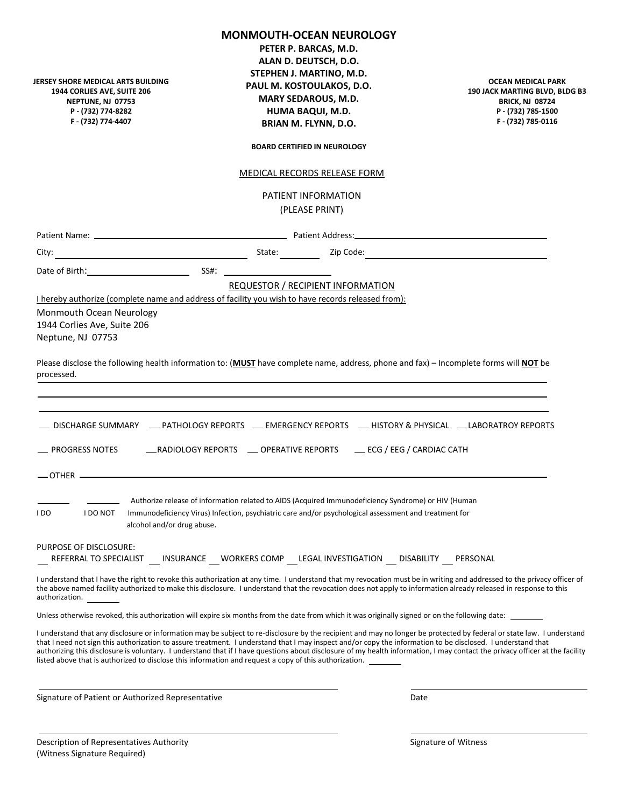| JERSEY SHORE MEDICAL ARTS BUILDING<br>1944 CORLIES AVE, SUITE 206<br>NEPTUNE, NJ 07753<br>P - (732) 774-8282<br>F - (732) 774-4407                                                                                                                                    | <b>MONMOUTH-OCEAN NEUROLOGY</b><br>PETER P. BARCAS, M.D.<br>ALAN D. DEUTSCH, D.O.<br>STEPHEN J. MARTINO, M.D.<br>PAUL M. KOSTOULAKOS, D.O.<br><b>MARY SEDAROUS, M.D.</b><br>HUMA BAQUI, M.D.<br>BRIAN M. FLYNN, D.O. |  | <b>OCEAN MEDICAL PARK</b><br>190 JACK MARTING BLVD, BLDG B3<br><b>BRICK, NJ 08724</b><br>P-(732) 785-1500<br>F - (732) 785-0116                                                                                                                                                                                                                       |
|-----------------------------------------------------------------------------------------------------------------------------------------------------------------------------------------------------------------------------------------------------------------------|----------------------------------------------------------------------------------------------------------------------------------------------------------------------------------------------------------------------|--|-------------------------------------------------------------------------------------------------------------------------------------------------------------------------------------------------------------------------------------------------------------------------------------------------------------------------------------------------------|
|                                                                                                                                                                                                                                                                       | <b>BOARD CERTIFIED IN NEUROLOGY</b>                                                                                                                                                                                  |  |                                                                                                                                                                                                                                                                                                                                                       |
|                                                                                                                                                                                                                                                                       | <b>MEDICAL RECORDS RELEASE FORM</b>                                                                                                                                                                                  |  |                                                                                                                                                                                                                                                                                                                                                       |
|                                                                                                                                                                                                                                                                       | PATIENT INFORMATION                                                                                                                                                                                                  |  |                                                                                                                                                                                                                                                                                                                                                       |
|                                                                                                                                                                                                                                                                       | (PLEASE PRINT)                                                                                                                                                                                                       |  |                                                                                                                                                                                                                                                                                                                                                       |
|                                                                                                                                                                                                                                                                       |                                                                                                                                                                                                                      |  |                                                                                                                                                                                                                                                                                                                                                       |
|                                                                                                                                                                                                                                                                       |                                                                                                                                                                                                                      |  |                                                                                                                                                                                                                                                                                                                                                       |
| Date of Birth: SS#:                                                                                                                                                                                                                                                   |                                                                                                                                                                                                                      |  |                                                                                                                                                                                                                                                                                                                                                       |
|                                                                                                                                                                                                                                                                       | <b>REQUESTOR / RECIPIENT INFORMATION</b>                                                                                                                                                                             |  |                                                                                                                                                                                                                                                                                                                                                       |
| 1944 Corlies Ave, Suite 206<br>Neptune, NJ 07753<br>Please disclose the following health information to: (MUST have complete name, address, phone and fax) - Incomplete forms will NOT be<br>processed.                                                               |                                                                                                                                                                                                                      |  |                                                                                                                                                                                                                                                                                                                                                       |
| ___ PROGRESS NOTES     ____RADIOLOGY REPORTS   ____ OPERATIVE REPORTS    ____ ECG / EEG / CARDIAC CATH                                                                                                                                                                |                                                                                                                                                                                                                      |  |                                                                                                                                                                                                                                                                                                                                                       |
|                                                                                                                                                                                                                                                                       |                                                                                                                                                                                                                      |  |                                                                                                                                                                                                                                                                                                                                                       |
| I DO<br><b>I DO NOT</b><br>alcohol and/or drug abuse.                                                                                                                                                                                                                 | Authorize release of information related to AIDS (Acquired Immunodeficiency Syndrome) or HIV (Human<br>Immunodeficiency Virus) Infection, psychiatric care and/or psychological assessment and treatment for         |  |                                                                                                                                                                                                                                                                                                                                                       |
| <b>PURPOSE OF DISCLOSURE:</b><br>REFERRAL TO SPECIALIST INSURANCE WORKERS COMP LEGAL INVESTIGATION DISABILITY PERSONAL                                                                                                                                                |                                                                                                                                                                                                                      |  |                                                                                                                                                                                                                                                                                                                                                       |
| the above named facility authorized to make this disclosure. I understand that the revocation does not apply to information already released in response to this<br>authorization.                                                                                    |                                                                                                                                                                                                                      |  | I understand that I have the right to revoke this authorization at any time. I understand that my revocation must be in writing and addressed to the privacy officer of                                                                                                                                                                               |
| Unless otherwise revoked, this authorization will expire six months from the date from which it was originally signed or on the following date:                                                                                                                       |                                                                                                                                                                                                                      |  |                                                                                                                                                                                                                                                                                                                                                       |
| that I need not sign this authorization to assure treatment. I understand that I may inspect and/or copy the information to be disclosed. I understand that<br>listed above that is authorized to disclose this information and request a copy of this authorization. |                                                                                                                                                                                                                      |  | I understand that any disclosure or information may be subject to re-disclosure by the recipient and may no longer be protected by federal or state law. I understand<br>authorizing this disclosure is voluntary. I understand that if I have questions about disclosure of my health information, I may contact the privacy officer at the facility |
| Signature of Patient or Authorized Representative                                                                                                                                                                                                                     |                                                                                                                                                                                                                      |  | Date                                                                                                                                                                                                                                                                                                                                                  |